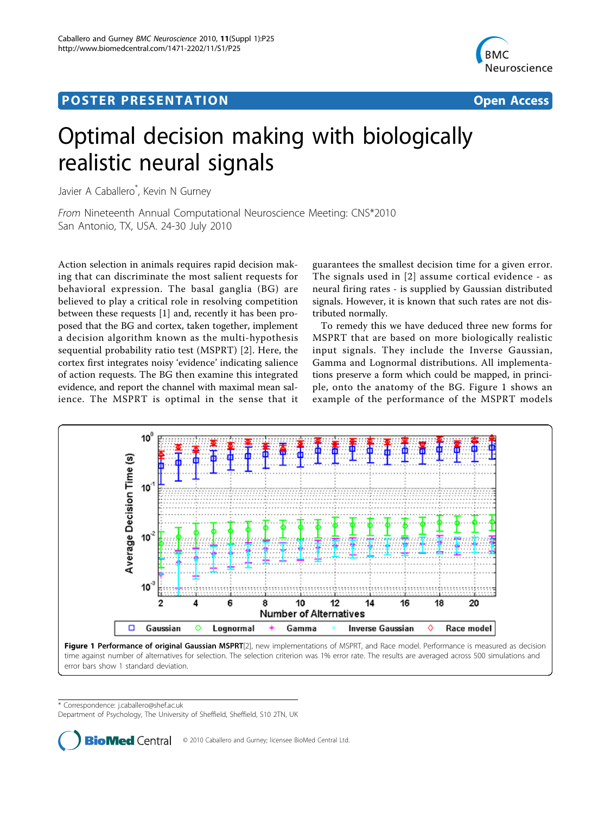## <span id="page-0-0"></span>Post Experimental Police in the St English Police in the St English Police in the St English Police in the St<br>Police in the St English Police in the St English Police in the St English Police in the St English Police in



## Optimal decision making with biologically realistic neural signals

Javier A Caballero\* , Kevin N Gurney

From Nineteenth Annual Computational Neuroscience Meeting: CNS\*2010 San Antonio, TX, USA. 24-30 July 2010

Action selection in animals requires rapid decision making that can discriminate the most salient requests for behavioral expression. The basal ganglia (BG) are believed to play a critical role in resolving competition between these requests [\[1](#page-1-0)] and, recently it has been proposed that the BG and cortex, taken together, implement a decision algorithm known as the multi-hypothesis sequential probability ratio test (MSPRT) [[2\]](#page-1-0). Here, the cortex first integrates noisy 'evidence' indicating salience of action requests. The BG then examine this integrated evidence, and report the channel with maximal mean salience. The MSPRT is optimal in the sense that it guarantees the smallest decision time for a given error. The signals used in [[2\]](#page-1-0) assume cortical evidence - as neural firing rates - is supplied by Gaussian distributed signals. However, it is known that such rates are not distributed normally.

To remedy this we have deduced three new forms for MSPRT that are based on more biologically realistic input signals. They include the Inverse Gaussian, Gamma and Lognormal distributions. All implementations preserve a form which could be mapped, in principle, onto the anatomy of the BG. Figure 1 shows an example of the performance of the MSPRT models



Figure 1 Performance of original Gaussian MSPRT[\[2](#page-1-0)], new implementations of MSPRT, and Race model. Performance is measured as decision time against number of alternatives for selection. The selection criterion was 1% error rate. The results are averaged across 500 simulations and error bars show 1 standard deviation.

\* Correspondence: [j.caballero@shef.ac.uk](mailto:j.caballero@shef.ac.uk)

Department of Psychology, The University of Sheffield, Sheffield, S10 2TN, UK

**BioMed** Central © 2010 Caballero and Gurney; licensee BioMed Central Ltd.